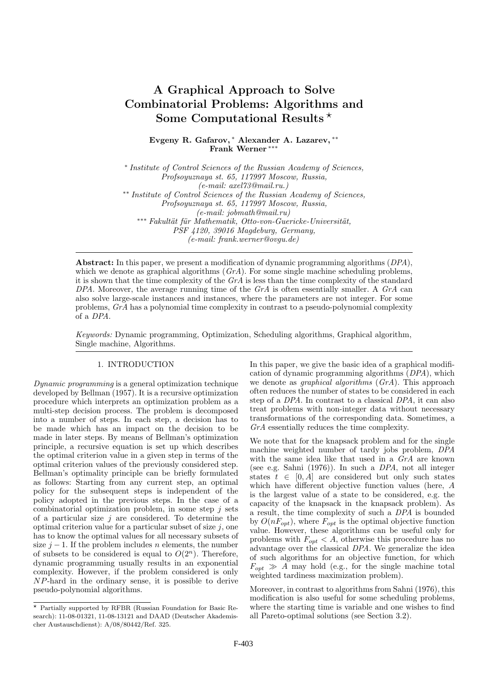# A Graphical Approach to Solve Combinatorial Problems: Algorithms and Some Computational Results<sup>\*</sup>

Evgeny R. Gafarov, <sup>∗</sup> Alexander A. Lazarev, ∗∗ Frank Werner ∗∗∗

∗ *Institute of Control Sciences of the Russian Academy of Sciences, Profsoyuznaya st. 65, 117997 Moscow, Russia, (e-mail: axel73@mail.ru.)* ∗∗ *Institute of Control Sciences of the Russian Academy of Sciences, Profsoyuznaya st. 65, 117997 Moscow, Russia, (e-mail: jobmath@mail.ru)* <sup>∗</sup>\*\* *Fakultät für Mathematik, Otto-von-Guericke-Universität, PSF 4120, 39016 Magdeburg, Germany, (e-mail: frank.werner@ovgu.de)*

Abstract: In this paper, we present a modification of dynamic programming algorithms (*DPA*), which we denote as graphical algorithms (*GrA*). For some single machine scheduling problems, it is shown that the time complexity of the *GrA* is less than the time complexity of the standard *DPA*. Moreover, the average running time of the *GrA* is often essentially smaller. A *GrA* can also solve large-scale instances and instances, where the parameters are not integer. For some problems, *GrA* has a polynomial time complexity in contrast to a pseudo-polynomial complexity of a *DPA*.

*Keywords:* Dynamic programming, Optimization, Scheduling algorithms, Graphical algorithm, Single machine, Algorithms.

## 1. INTRODUCTION

*Dynamic programming* is a general optimization technique developed by Bellman (1957). It is a recursive optimization procedure which interprets an optimization problem as a multi-step decision process. The problem is decomposed into a number of steps. In each step, a decision has to be made which has an impact on the decision to be made in later steps. By means of Bellman's optimization principle, a recursive equation is set up which describes the optimal criterion value in a given step in terms of the optimal criterion values of the previously considered step. Bellman's optimality principle can be briefly formulated as follows: Starting from any current step, an optimal policy for the subsequent steps is independent of the policy adopted in the previous steps. In the case of a combinatorial optimization problem, in some step  $j$  sets of a particular size  $j$  are considered. To determine the optimal criterion value for a particular subset of size  $j$ , one has to know the optimal values for all necessary subsets of size  $j-1$ . If the problem includes n elements, the number of subsets to be considered is equal to  $O(2^n)$ . Therefore, dynamic programming usually results in an exponential complexity. However, if the problem considered is only NP-hard in the ordinary sense, it is possible to derive pseudo-polynomial algorithms.

In this paper, we give the basic idea of a graphical modification of dynamic programming algorithms (*DPA*), which we denote as *graphical algorithms* (*GrA*). This approach often reduces the number of states to be considered in each step of a *DPA*. In contrast to a classical *DPA*, it can also treat problems with non-integer data without necessary transformations of the corresponding data. Sometimes, a *GrA* essentially reduces the time complexity.

We note that for the knapsack problem and for the single machine weighted number of tardy jobs problem, *DPA* with the same idea like that used in a *GrA* are known (see e.g. Sahni (1976)). In such a *DPA*, not all integer states  $t \in [0, \hat{A}]$  are considered but only such states which have different objective function values (here, A is the largest value of a state to be considered, e.g. the capacity of the knapsack in the knapsack problem). As a result, the time complexity of such a *DPA* is bounded by  $O(nF_{opt})$ , where  $F_{opt}$  is the optimal objective function value. However, these algorithms can be useful only for problems with  $F_{opt} < A$ , otherwise this procedure has no advantage over the classical *DPA*. We generalize the idea of such algorithms for an objective function, for which  $F_{opt} \gg A$  may hold (e.g., for the single machine total weighted tardiness maximization problem).

Moreover, in contrast to algorithms from Sahni (1976), this modification is also useful for some scheduling problems, where the starting time is variable and one wishes to find all Pareto-optimal solutions (see Section 3.2).

<sup>⋆</sup> Partially supported by RFBR (Russian Foundation for Basic Research): 11-08-01321, 11-08-13121 and DAAD (Deutscher Akademischer Austauschdienst): A/08/80442/Ref. 325.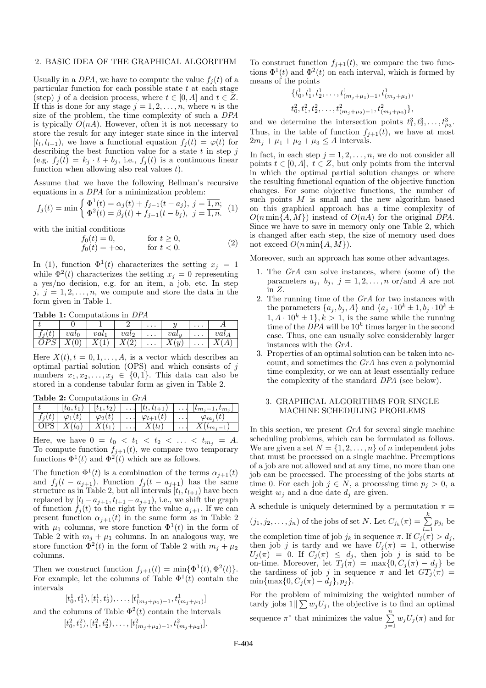### 2. BASIC IDEA OF THE GRAPHICAL ALGORITHM

Usually in a *DPA*, we have to compute the value  $f_i(t)$  of a particular function for each possible state  $t$  at each stage (step) j of a decision process, where  $t \in [0, A]$  and  $t \in Z$ . If this is done for any stage  $j = 1, 2, \ldots, n$ , where n is the size of the problem, the time complexity of such a *DPA* is typically  $O(nA)$ . However, often it is not necessary to store the result for any integer state since in the interval  $[t_l, t_{l+1})$ , we have a functional equation  $f_j(t) = \varphi(t)$  for describing the best function value for a state  $t$  in step  $j$ (e.g.  $f_j(t) = k_j \cdot t + b_j$ , i.e.,  $f_j(t)$  is a continuous linear function when allowing also real values  $t$ ).

Assume that we have the following Bellman's recursive equations in a *DPA* for a minimization problem:

$$
f_j(t) = \min \begin{cases} \Phi^1(t) = \alpha_j(t) + f_{j-1}(t - a_j), \ j = \overline{1, n}; \\ \Phi^2(t) = \beta_j(t) + f_{j-1}(t - b_j), \ j = \overline{1, n}. \end{cases}
$$
 (1)

with the initial conditions

$$
f_0(t) = 0,
$$
 for  $t \ge 0$ ,  
\n
$$
f_0(t) = +\infty,
$$
 for  $t < 0$ . (2)

In (1), function  $\Phi^1(t)$  characterizes the setting  $x_j = 1$ while  $\Phi^2(t)$  characterizes the setting  $x_j = 0$  representing a yes/no decision, e.g. for an item, a job, etc. In step j,  $j = 1, 2, \ldots, n$ , we compute and store the data in the form given in Table 1.

Table 1: Computations in *DPA*

|  |         |         |                  | $\cdots$ |                     | $\cdots$ |         |
|--|---------|---------|------------------|----------|---------------------|----------|---------|
|  | $val_0$ | $val_1$ | val <sub>2</sub> | $\cdots$ | $val_{\mathcal{H}}$ | $\cdots$ | $val_A$ |
|  |         |         | $\Omega$         | $\cdots$ | $\Omega$<br>∡⊾      | $\cdots$ |         |

Here  $X(t)$ ,  $t = 0, 1, \ldots, A$ , is a vector which describes an optimal partial solution  $(OPS)$  and which consists of j numbers  $x_1, x_2, \ldots, x_i \in \{0, 1\}$ . This data can also be stored in a condense tabular form as given in Table 2.

|  | <b>Table 2:</b> Computations in $GrA$ |  |  |
|--|---------------------------------------|--|--|
|--|---------------------------------------|--|--|

| $\varphi_1(t)$<br>$\varphi_2(t)$<br>$\varphi_{l+1}(t)$<br>$t_i(t)$<br>$\cdot \cdot \cdot$ |                    |  | $[t_1, t_2] \mid \ldots \mid [t_l, t_{l+1}) \mid \ldots \mid [t_{m_j-1}, t_{m_j}]$ | $ t_0, t_1\rangle$ |  |
|-------------------------------------------------------------------------------------------|--------------------|--|------------------------------------------------------------------------------------|--------------------|--|
|                                                                                           | $\varphi_{m_i}(t)$ |  |                                                                                    |                    |  |
| $\sqrt{S}$                                                                                |                    |  |                                                                                    |                    |  |

Here, we have  $0 = t_0 < t_1 < t_2 < \ldots < t_{m_j} = A$ . To compute function  $f_{j+1}(t)$ , we compare two temporary functions  $\Phi^1(t)$  and  $\Phi^2(t)$  which are as follows.

The function  $\Phi^1(t)$  is a combination of the terms  $\alpha_{j+1}(t)$ and  $f_j(t - a_{j+1})$ . Function  $f_j(t - a_{j+1})$  has the same structure as in Table 2, but all intervals  $[t_l, t_{l+1})$  have been replaced by  $[t_l - a_{j+1}, t_{l+1} - a_{j+1}),$  i.e., we shift the graph of function  $f_i(t)$  to the right by the value  $a_{i+1}$ . If we can present function  $\alpha_{j+1}(t)$  in the same form as in Table 2 with  $\mu_1$  columns, we store function  $\Phi^1(t)$  in the form of Table 2 with  $m_j + \mu_1$  columns. In an analogous way, we store function  $\Phi^2(t)$  in the form of Table 2 with  $m_j + \mu_2$ columns.

Then we construct function  $f_{j+1}(t) = \min{\{\Phi^1(t), \Phi^2(t)\}}$ . For example, let the columns of Table  $\Phi^1(t)$  contain the intervals

 $[t_0^1, t_1^1], [t_1^1, t_2^1], \ldots, [t_{(m_j+\mu_1)-1}^1, t_{(m_j+\mu_1)}^1]$ and the columns of Table  $\Phi^2(t)$  contain the intervals  $[t_0^2, t_1^2), [t_1^2, t_2^2), \ldots, [t_{(m_j+\mu_2)-1}^2, t_{(m_j+\mu_2)}^2].$ 

To construct function  $f_{j+1}(t)$ , we compare the two functions  $\Phi^1(t)$  and  $\Phi^2(t)$  on each interval, which is formed by means of the points

$$
\begin{aligned} & \{t_0^1, t_1^1, t_2^1, \dots, t_{(m_j + \mu_1) - 1}^1, t_{(m_j + \mu_1)}^1, \\ & t_0^2, t_1^2, t_2^2, \dots, t_{(m_j + \mu_2) - 1}^2, t_{(m_j + \mu_2)}^2\}, \end{aligned}
$$

and we determine the intersection points  $t_1^3, t_2^3, \ldots, t_{\mu_3}^3$ . Thus, in the table of function  $f_{j+1}(t)$ , we have at most  $2m_i + \mu_1 + \mu_2 + \mu_3 \leq A$  intervals.

In fact, in each step  $j = 1, 2, \ldots, n$ , we do not consider all points  $t \in [0, A], t \in \mathbb{Z}$ , but only points from the interval in which the optimal partial solution changes or where the resulting functional equation of the objective function changes. For some objective functions, the number of such points  $M$  is small and the new algorithm based on this graphical approach has a time complexity of  $O(n \min\{A, M\})$  instead of  $O(nA)$  for the original *DPA*. Since we have to save in memory only one Table 2, which is changed after each step, the size of memory used does not exceed  $O(n \min\{A, M\})$ .

Moreover, such an approach has some other advantages.

- 1. The *GrA* can solve instances, where (some of) the parameters  $a_j$ ,  $b_j$ ,  $j = 1, 2, ..., n$  or/and A are not in Z.
- 2. The running time of the *GrA* for two instances with the parameters  $\{a_j, b_j, A\}$  and  $\{a_j \cdot 10^k \pm 1, b_j \cdot 10^k \pm 1\}$  $1, A \cdot 10^k \pm 1$ ,  $k > 1$ , is the same while the running time of the  $\overline{DPA}$  will be  $10^k$  times larger in the second case. Thus, one can usually solve considerably larger instances with the *GrA*.
- 3. Properties of an optimal solution can be taken into account, and sometimes the *GrA* has even a polynomial time complexity, or we can at least essentially reduce the complexity of the standard *DPA* (see below).

#### 3. GRAPHICAL ALGORITHMS FOR SINGLE MACHINE SCHEDULING PROBLEMS

In this section, we present *GrA* for several single machine scheduling problems, which can be formulated as follows. We are given a set  $N = \{1, 2, ..., n\}$  of *n* independent jobs that must be processed on a single machine. Preemptions of a job are not allowed and at any time, no more than one job can be processed. The processing of the jobs starts at time 0. For each job  $j \in N$ , a processing time  $p_j > 0$ , a weight  $w_i$  and a due date  $d_i$  are given.

A schedule is uniquely determined by a permutation  $\pi=$  $(j_1, j_2, \ldots, j_n)$  of the jobs of set N. Let  $C_{j_k}(\pi) = \sum_{k=1}^k$  $\sum_{l=1} p_{j_l}$  be the completion time of job  $j_k$  in sequence  $\pi$ . If  $C_j(\pi) > d_j$ , then job j is tardy and we have  $U_j(\pi) = 1$ , otherwise  $U_j(\pi) = 0$ . If  $C_j(\pi) \leq d_j$ , then job j is said to be on-time. Moreover, let  $T_j(\pi) = \max\{0, C_j(\pi) - d_j\}$  be the tardiness of job j in sequence  $\pi$  and let  $GT_j(\pi) =$  $\min\{\max\{0, C_i(\pi) - d_i\}, p_i\}.$ 

For the problem of minimizing the weighted number of tardy jobs  $1||\sum w_i U_i$ , the objective is to find an optimal sequence  $\pi^*$  that minimizes the value  $\sum_{n=1}^{\infty}$  $\sum_{j=1} w_j U_j(\pi)$  and for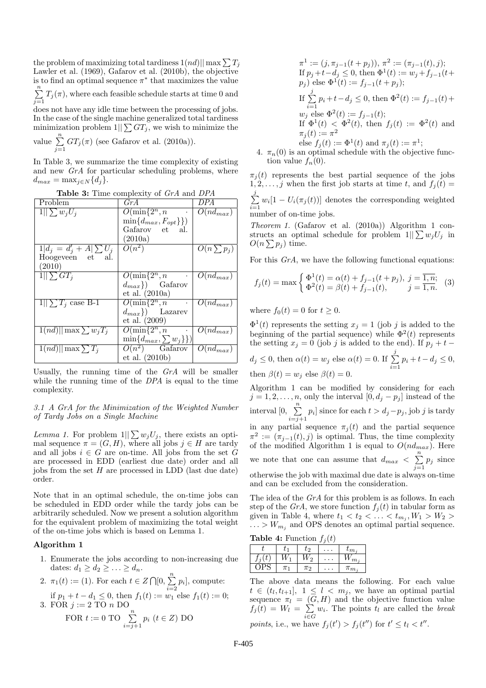the problem of maximizing total tardiness  $1(nd)||\max\sum T_j$ Lawler et al. (1969), Gafarov et al. (2010b), the objective is to find an optimal sequence  $\pi^*$  that maximizes the value  $\sum_{n=1}^{\infty}$  $\sum_{j=1} T_j(\pi)$ , where each feasible schedule starts at time 0 and

does not have any idle time between the processing of jobs. In the case of the single machine generalized total tardiness minimization problem  $1||\sum GT_j$ , we wish to minimize the

value  $\sum_{n=1}^{\infty}$  $\sum_{j=1} GT_j(\pi)$  (see Gafarov et al. (2010a)).

In Table 3, we summarize the time complexity of existing and new *GrA* for particular scheduling problems, where  $d_{max} = \max_{i \in N} \{d_i\}.$ 

Table 3: Time complexity of *GrA* and *DPA*

| Problem                      | GrA                              | DPA                      |
|------------------------------|----------------------------------|--------------------------|
| $1  \sum w_j U_i$            | $O(\min\{2^n, n\})$<br>$\bullet$ | $O(nd_{max})$            |
|                              | $\min\{d_{max}, F_{opt}\}\})$    |                          |
|                              | Gafarov et al.                   |                          |
|                              | (2010a)                          |                          |
| $1 d_j = d'_j + A  \sum U_j$ | $O(n^2)$                         | $O(n \sum p_j)$          |
| Hoogeveen et al.             |                                  |                          |
| (2010)                       |                                  |                          |
| $1  \sum GT_i$               | $O(\min\{2^n, n\})$              | $O(nd_{max})$            |
|                              | $d_{max}\})$ Gafarov             |                          |
|                              | et al. $(2010a)$                 |                          |
| $1  \sum T_j \case B-1$      | $O(\min\{2^n, n \}$              | $\overline{O}(nd_{max})$ |
|                              | $(d_{max})$ Lazarev              |                          |
|                              | et al. (2009)                    |                          |
| $1(nd)  \max \sum w_iT_i$    | $O(\min\{2^n, n\})$              | $O(nd_{max})$            |
|                              | $\min\{d_{max},\sum w_j\}\}\$    |                          |
| $1(nd)  \max \sum T_i$       | $O(n^2)$ Gafarov                 | $O(nd_{max})$            |
|                              | et al. (2010b)                   |                          |

Usually, the running time of the *GrA* will be smaller while the running time of the *DPA* is equal to the time complexity.

*3.1 A GrA for the Minimization of the Weighted Number of Tardy Jobs on a Single Machine*

*Lemma 1.* For problem  $1||\sum w_j U_j$ , there exists an optimal sequence  $\pi = (G, H)$ , where all jobs  $j \in H$  are tardy and all jobs  $i \in G$  are on-time. All jobs from the set G are processed in EDD (earliest due date) order and all jobs from the set  $H$  are processed in LDD (last due date) order.

Note that in an optimal schedule, the on-time jobs can be scheduled in EDD order while the tardy jobs can be arbitrarily scheduled. Now we present a solution algorithm for the equivalent problem of maximizing the total weight of the on-time jobs which is based on Lemma 1.

### Algorithm 1

1. Enumerate the jobs according to non-increasing due dates:  $d_1 \geq d_2 \geq \ldots \geq d_n$ .

2. 
$$
\pi_1(t) := (1)
$$
. For each  $t \in Z \cap [0, \sum_{i=2}^n p_i]$ , compute:  
if  $p_1 + t - d_1 \le 0$ , then  $f_1(t) := w_1$  else  $f_1(t) := 0$ ;  
3. FOR  $j := 2$  TO  $n$  DO  
FOR  $t := 0$  TO  $\sum_{i=j+1}^n p_i$   $(t \in Z)$  DO

$$
\pi^1 := (j, \pi_{j-1}(t + p_j)), \pi^2 := (\pi_{j-1}(t), j);
$$
  
If  $p_j + t - d_j \le 0$ , then  $\Phi^1(t) := w_j + f_{j-1}(t + p_j)$   
else  $\Phi^1(t) := f_{j-1}(t + p_j);$   
If  $\sum_{i=1}^j p_i + t - d_j \le 0$ , then  $\Phi^2(t) := f_{j-1}(t) +$   
 $w_j$  else  $\Phi^2(t) := f_{j-1}(t);$   
If  $\Phi^1(t) < \Phi^2(t)$ , then  $f_j(t) := \Phi^2(t)$  and  
 $\pi_j(t) := \pi^2$   
else  $f_j(t) := \Phi^1(t)$  and  $\pi_j(t) := \pi^1;$ 

4.  $\pi_n(0)$  is an optimal schedule with the objective function value  $f_n(0)$ .

 $\pi_i(t)$  represents the best partial sequence of the jobs  $1, 2, \ldots, j$  when the first job starts at time t, and  $f_j(t) =$  $\sum_{i=1}^{j}$  $\sum_{i=1} w_i [1 - U_i(\pi_j(t))]$  denotes the corresponding weighted number of on-time jobs.

*Theorem 1.* (Gafarov et al. (2010a)) Algorithm 1 constructs an optimal schedule for problem  $1||\sum w_jU_j$  in  $O(n \sum p_j)$  time.

For this *GrA*, we have the following functional equations:

$$
f_j(t) = \max\begin{cases} \Phi^1(t) = \alpha(t) + f_{j-1}(t + p_j), \ j = \overline{1, n}; \\ \Phi^2(t) = \beta(t) + f_{j-1}(t), \qquad j = \overline{1, n}. \end{cases}
$$
 (3)

where  $f_0(t) = 0$  for  $t > 0$ .

 $\Phi^1(t)$  represents the setting  $x_j = 1$  (job j is added to the beginning of the partial sequence) while  $\Phi^2(t)$  represents the setting  $x_j = 0$  (job j is added to the end). If  $p_j + t$  $d_j \leq 0$ , then  $\alpha(t) = w_j$  else  $\alpha(t) = 0$ . If  $\sum^j$  $\sum_{i=1} p_i + t - d_j \leq 0,$ 

then 
$$
\beta(t) = w_j
$$
 else  $\beta(t) = 0$ .

Algorithm 1 can be modified by considering for each  $j = 1, 2, \ldots, n$ , only the interval  $[0, d_j - p_j]$  instead of the interval  $[0, \sum_{n=1}^{\infty}$  $\sum_{i=j+1} p_i$  since for each  $t > d_j - p_j$ , job j is tardy in any partial sequence  $\pi_i(t)$  and the partial sequence  $\pi^2 := (\pi_{j-1}(t), j)$  is optimal. Thus, the time complexity of the modified Algorithm 1 is equal to  $O(nd_{max})$ . Here we note that one can assume that  $d_{max} < \sum_{n=1}^{n}$  $\sum_{j=1} p_j$  since otherwise the job with maximal due date is always on-time and can be excluded from the consideration.

The idea of the *GrA* for this problem is as follows. In each step of the *GrA*, we store function  $f_i(t)$  in tabular form as given in Table 4, where  $t_1 < t_2 < \ldots < t_{m_j}, W_1 > W_2 >$  $\ldots > W_{m_i}$  and OPS denotes an optimal partial sequence.

|  |  | <b>Table 4:</b> Function $f_j(t)$ |  |  |
|--|--|-----------------------------------|--|--|
|--|--|-----------------------------------|--|--|

|        |         |         | $\boldsymbol{\mathsf{v}}$ .<br>$\mathbf{v}$ |               |
|--------|---------|---------|---------------------------------------------|---------------|
|        | υ       | しつ      | $\ddot{\phantom{0}}$<br>٠                   | $\iota_{m_i}$ |
| ٠<br>J |         | റ       |                                             | $m_i$         |
|        | $\pi_1$ | $\pi_2$ | ٠<br>. .                                    | $\pi_{m_i}$   |

The above data means the following. For each value  $t \in (t_l, t_{l+1}], \; 1 \leq l < m_j$ , we have an optimal partial sequence  $\pi_l = (G, H)$  and the objective function value  $f_j(t) = W_l = \sum$  $\sum_{i\in G} w_i$ . The points  $t_l$  are called the *break points*, i.e., we have  $f_j(t') > f_j(t'')$  for  $t' \le t_l < t''$ .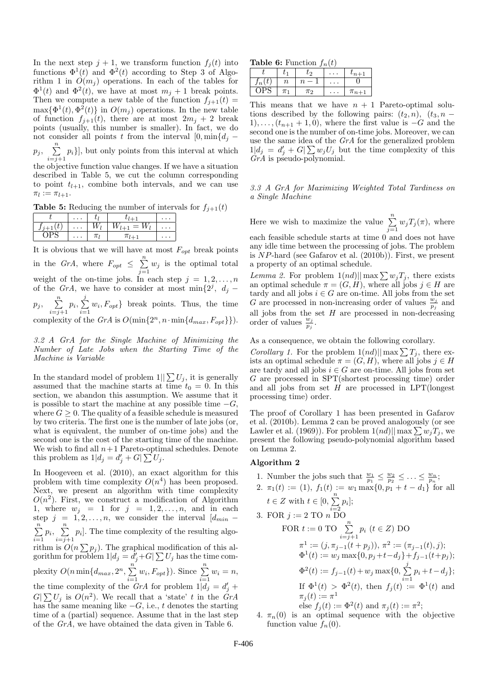In the next step  $j + 1$ , we transform function  $f_j(t)$  into functions  $\Phi^1(t)$  and  $\Phi^2(t)$  according to Step 3 of Algorithm 1 in  $O(m_i)$  operations. In each of the tables for  $\Phi^1(t)$  and  $\Phi^2(t)$ , we have at most  $m_j + 1$  break points. Then we compute a new table of the function  $f_{j+1}(t) =$  $\max{\{\Phi^1(t), \Phi^2(t)\}}$  in  $O(m_j)$  operations. In the new table of function  $f_{i+1}(t)$ , there are at most  $2m_i + 2$  break points (usually, this number is smaller). In fact, we do not consider all points t from the interval  $[0, \min\{d_i - \}]$ 

 $p_j, \quad \sum^n_j$  $\sum_{i=j+1} p_i$ , but only points from this interval at which

the objective function value changes. If we have a situation described in Table 5, we cut the column corresponding to point  $t_{l+1}$ , combine both intervals, and we can use  $\pi_l := \pi_{l+1}.$ 

**Table 5:** Reducing the number of intervals for  $f_{i+1}(t)$ 

| $\cdots$ |   | $\cdots$        |
|----------|---|-----------------|
| $\cdots$ | = | . .             |
| $\cdots$ |   | $\cdot$ $\cdot$ |

It is obvious that we will have at most  $\mathcal{F}_{opt}$  break points in the *GrA*, where  $F_{opt} \leq \sum_{n=1}^{n}$  $\sum_{j=1}^{\infty} w_j$  is the optimal total weight of the on-time jobs. In each step  $j = 1, 2, \ldots, n$ of the *GrA*, we have to consider at most min $\{2^j, d_j$  $p_j, \quad \sum^n_j$  $\sum_{i=j+1}^{n} p_i, \sum_{i=1}^{j}$  $\sum_{i=1} w_i, F_{opt}$ } break points. Thus, the time complexity of the  $GrA$  is  $O(\min\{2^n, n \cdot \min\{d_{max}, F_{opt}\}\}).$ 

*3.2 A GrA for the Single Machine of Minimizing the Number of Late Jobs when the Starting Time of the Machine is Variable*

In the standard model of problem  $1||\sum U_j$ , it is generally assumed that the machine starts at time  $t_0 = 0$ . In this section, we abandon this assumption. We assume that it is possible to start the machine at any possible time  $-G$ , where  $G \geq 0$ . The quality of a feasible schedule is measured by two criteria. The first one is the number of late jobs (or, what is equivalent, the number of on-time jobs) and the second one is the cost of the starting time of the machine. We wish to find all  $n+1$  Pareto-optimal schedules. Denote this problem as  $1|d_j = d'_j + G \sum U_j$ .

In Hoogeveen et al. (2010), an exact algorithm for this problem with time complexity  $O(n^4)$  has been proposed. Next, we present an algorithm with time complexity  $O(n^2)$ . First, we construct a modification of Algorithm 1, where  $w_j = 1$  for  $j = 1, 2, \ldots, n$ , and in each step  $j = 1, 2, \ldots, n$ , we consider the interval  $[d_{min} \sum_{n=1}^{\infty}$  $\sum_{i=1}^n p_i, \sum_{i=j+1}^n$  $\sum_{i=j+1} p_i$ . The time complexity of the resulting algorithm is  $O(n \sum p_j)$ . The graphical modification of this algorithm for problem  $1|d_j = d_j + G \sum U_j$  has the time complexity  $O(n \min\{d_{max}, 2^n, \sum_{n=1}^n\})$  $\sum_{i=1}^{n} w_i, F_{opt}$ }). Since  $\sum_{i=1}^{n} w_i = n$ , the time complexity of the  $\hat{G}rA$  for problem  $1|\hat{d}_j = d'_j +$  $G[\sum U_j$  is  $O(n^2)$ . We recall that a 'state' t in the *GrA* has the same meaning like  $-G$ , i.e., t denotes the starting time of a (partial) sequence. Assume that in the last step of the *GrA*, we have obtained the data given in Table 6.

**Table 6:** Function  $f_n(t)$ 

|    |                           |         | .        |               |
|----|---------------------------|---------|----------|---------------|
|    | $\mathbf{U}^{\mathsf{T}}$ | しつ      | $\cdots$ | $\iota_{n+1}$ |
| Jn | $\it n$                   | $\it n$ | .        |               |
|    | $\pi_1$                   | $\pi_2$ | $\cdots$ | $\pi_{n+1}$   |

This means that we have  $n + 1$  Pareto-optimal solutions described by the following pairs:  $(t_2, n)$ ,  $(t_3, n -$ 1), ...,  $(t_{n+1} + 1, 0)$ , where the first value is  $-G$  and the second one is the number of on-time jobs. Moreover, we can use the same idea of the *GrA* for the generalized problem  $1|d_j = d'_j + G|\sum w_j U_j$  but the time complexity of this *GrA* is pseudo-polynomial.

*3.3 A GrA for Maximizing Weighted Total Tardiness on a Single Machine*

Here we wish to maximize the value  $\sum_{n=1}^{\infty}$  $\sum_{j=1} w_j T_j(\pi)$ , where each feasible schedule starts at time 0 and does not have any idle time between the processing of jobs. The problem is  $NP$ -hard (see Gafarov et al.  $(2010b)$ ). First, we present a property of an optimal schedule.

*Lemma 2.* For problem  $1(nd)||\max\sum w_jT_j$ , there exists an optimal schedule  $\pi = (G, H)$ , where all jobs  $j \in H$  are tardy and all jobs  $i \in G$  are on-time. All jobs from the set G are processed in non-increasing order of values  $\frac{w_j}{p_j}$  and all jobs from the set  $H$  are processed in non-decreasing order of values  $\frac{w_j}{p_j}$ .

As a consequence, we obtain the following corollary.

*Corollary 1.* For the problem  $1(nd)||\max\sum T_j$ , there exists an optimal schedule  $\pi = (G, H)$ , where all jobs  $j \in H$ are tardy and all jobs  $i \in G$  are on-time. All jobs from set G are processed in SPT(shortest processing time) order and all jobs from set  $H$  are processed in LPT(longest processing time) order.

The proof of Corollary 1 has been presented in Gafarov et al. (2010b). Lemma 2 can be proved analogously (or see Lawler et al. (1969)). For problem  $1(nd)||\max\sum w_jT_j$ , we present the following pseudo-polynomial algorithm based on Lemma 2.

### Algorithm 2

- 1. Number the jobs such that  $\frac{w_1}{p_1} \leq \frac{w_2}{p_2} \leq \ldots \leq \frac{w_n}{p_n};$ 2.  $\pi_1(t) := (1), f_1(t) := w_1 \max\{0, p_1 + t - d_1\}$  for all  $t \in Z$  with  $t \in [0, \sum_{i=1}^{n}$  $\sum_{i=2} p_i$ ; 3. FOR  $j := 2$  TO  $n$  DO FOR  $t := 0$  TO  $\sum_{n=1}^{\infty}$  $\sum_{i=j+1} p_i$   $(t \in Z)$  DO  $\pi^1 := (j, \pi_{j-1}(t+p_j)), \pi^2 := (\pi_{j-1}(t), j);$  $\Phi^1(t) := w_j \max\{0, p_j + t - d_j\} + f_{j-1}(t+p_j);$  $\Phi^2(t) := f_{j-1}(t) + w_j \max\{0, \sum_{j=1}^j \}$  $\sum_{i=1} p_i + t - d_j$ ; If  $\Phi^1(t) > \Phi^2(t)$ , then  $f_j(t) := \Phi^1(t)$  and  $\pi_j(t):=\pi^1$ else  $f_j(t) := \Phi^2(t)$  and  $\pi_j(t) := \pi^2$ ;
- 4.  $\pi_n(0)$  is an optimal sequence with the objective function value  $f_n(0)$ .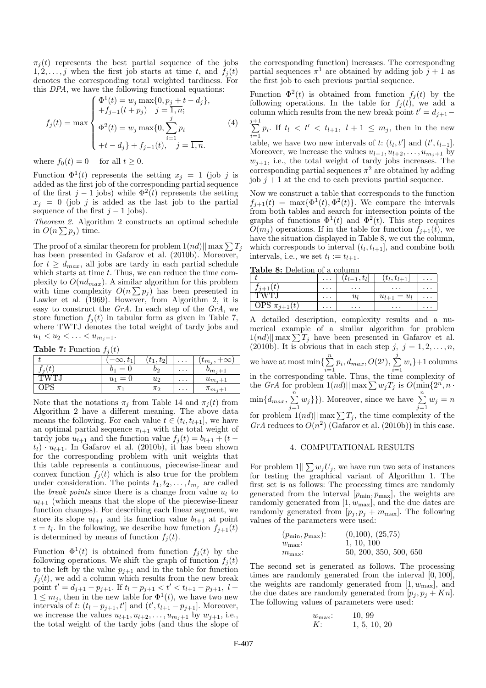$\pi_i(t)$  represents the best partial sequence of the jobs  $1, 2, \ldots, j$  when the first job starts at time t, and  $f_i(t)$ denotes the corresponding total weighted tardiness. For this *DPA*, we have the following functional equations:

$$
f_j(t) = \max\begin{cases} \Phi^1(t) = w_j \max\{0, p_j + t - d_j\}, \\ +f_{j-1}(t + p_j) & j = 1, n; \end{cases}
$$
  

$$
\Phi^2(t) = w_j \max\{0, \sum_{i=1}^j p_i \\ +t - d_j\} + f_{j-1}(t), \quad j = \overline{1, n}.
$$
 (4)

where  $f_0(t) = 0$  for all  $t \geq 0$ .

Function  $\Phi^1(t)$  represents the setting  $x_j = 1$  (job j is added as the first job of the corresponding partial sequence of the first  $j-1$  jobs) while  $\Phi^2(t)$  represents the setting  $x_j = 0$  (job j is added as the last job to the partial sequence of the first  $j - 1$  jobs).

*Theorem 2.* Algorithm 2 constructs an optimal schedule in  $O(n \sum p_j)$  time.

The proof of a similar theorem for problem  $1(nd)||\max\sum T_j$ has been presented in Gafarov et al. (2010b). Moreover, for  $t > d_{max}$ , all jobs are tardy in each partial schedule which starts at time  $t$ . Thus, we can reduce the time complexity to  $O(nd_{max})$ . A similar algorithm for this problem with time complexity  $O(n \sum p_j)$  has been presented in Lawler et al. (1969). However, from Algorithm 2, it is easy to construct the *GrA*. In each step of the *GrA*, we store function  $f_i(t)$  in tabular form as given in Table 7, where TWTJ denotes the total weight of tardy jobs and  $u_1 < u_2 < \ldots < u_{m_i+1}.$ 

**Table 7:** Function  $f_i(t)$ 

|             | $-\infty, t_1$ | $\lvert t_1, t_2 \rvert$ | $\cdots$ | $+\infty$<br>$\iota_{m_i},$ |
|-------------|----------------|--------------------------|----------|-----------------------------|
| $\tau_i(t)$ | $b_1 = 0$      | 02                       | $\cdots$ | $v_{m,i+1}$                 |
| TW.         | $u_1$<br>$= 0$ | $u_2$                    | $\cdots$ | $u_{m_i+1}$                 |
| JP.         | $\pi_1$        | $\pi_2$                  | $\cdots$ | $\pi_{m_i+1}$               |

Note that the notations  $\pi_i$  from Table 14 and  $\pi_i(t)$  from Algorithm 2 have a different meaning. The above data means the following. For each value  $t \in (t_l, t_{l+1}]$ , we have an optimal partial sequence  $\pi_{l+1}$  with the total weight of tardy jobs  $u_{l+1}$  and the function value  $f_j(t) = b_{l+1} + (t$  $t_l$ ) ·  $u_{l+1}$ . In Gafarov et al. (2010b), it has been shown for the corresponding problem with unit weights that this table represents a continuous, piecewise-linear and convex function  $f_i(t)$  which is also true for the problem under consideration. The points  $t_1, t_2, \ldots, t_{m_j}$  are called the *break points* since there is a change from value  $u_l$  to  $u_{l+1}$  (which means that the slope of the piecewise-linear function changes). For describing each linear segment, we store its slope  $u_{l+1}$  and its function value  $b_{l+1}$  at point  $t = t_l$ . In the following, we describe how function  $f_{j+1}(t)$ is determined by means of function  $f_j(t)$ .

Function  $\Phi^1(t)$  is obtained from function  $f_j(t)$  by the following operations. We shift the graph of function  $f_i(t)$ to the left by the value  $p_{j+1}$  and in the table for function  $f_i(t)$ , we add a column which results from the new break point  $t' = d_{j+1} - p_{j+1}$ . If  $t_l - p_{j+1} < t' < t_{l+1} - p_{j+1}$ ,  $l +$  $1 \leq m_j$ , then in the new table for  $\Phi^1(t)$ , we have two new intervals of t:  $(t_l - p_{j+1}, t']$  and  $(t', t_{l+1} - p_{j+1}]$ . Moreover, we increase the values  $u_{l+1}, u_{l+2}, \ldots, u_{m_j+1}$  by  $w_{j+1}$ , i.e., the total weight of the tardy jobs (and thus the slope of the corresponding function) increases. The corresponding partial sequences  $\pi^1$  are obtained by adding job  $j+1$  as the first job to each previous partial sequence.

Function  $\Phi^2(t)$  is obtained from function  $f_j(t)$  by the following operations. In the table for  $f_i(t)$ , we add a column which results from the new break point  $t' = d_{j+1}$ 

 $\sum_{ }^{j+1}$  $\sum_{i=1}^{n} p_i$ . If  $t_l < t' < t_{l+1}$ ,  $l+1 \leq m_j$ , then in the new table, we have two new intervals of t:  $(t_l, t']$  and  $(t', t_{l+1}]$ . ′ Moreover, we increase the values  $u_{l+1}, u_{l+2}, \ldots, u_{m_j+1}$  by  $w_{j+1}$ , i.e., the total weight of tardy jobs increases. The corresponding partial sequences  $\pi^2$  are obtained by adding job  $j + 1$  at the end to each previous partial sequence.

Now we construct a table that corresponds to the function  $f_{j+1}(t) = \max{\{\Phi^1(t), \Phi^2(t)\}}$ . We compare the intervals from both tables and search for intersection points of the graphs of functions  $\Phi^1(t)$  and  $\Phi^2(t)$ . This step requires  $O(m_i)$  operations. If in the table for function  $f_{i+1}(t)$ , we have the situation displayed in Table 8, we cut the column, which corresponds to interval  $(t_l, t_{l+1}]$ , and combine both intervals, i.e., we set  $t_l := t_{l+1}$ .

Table 8: Deletion of a column

| Laple of Deleten of a column           |          |                 |                     |          |
|----------------------------------------|----------|-----------------|---------------------|----------|
|                                        | $\cdots$ | $ t_{l-1},t_l $ | $(t_l, t_{l+1})$    | $\cdots$ |
|                                        | $\cdots$ | $\cdots$        | $\cdots$            | $\cdots$ |
| 'TWTJ                                  | $\cdots$ | $u_l$           | $=u_l$<br>$u_{l+1}$ | $\cdots$ |
| $\overline{\mathrm{OPS}} \pi_{i+1}(t)$ | $\cdots$ | $\cdots$        | $\cdots$            | $\cdots$ |

A detailed description, complexity results and a numerical example of a similar algorithm for problem  $1(nd)||\max\sum T_j$  have been presented in Gafarov et al. (2010b). It is obvious that in each step j,  $j = 1, 2, \ldots, n$ , we have at most min $\left\{\sum_{n=1}^{n} \right\}$  $\sum_{i=1}^{n} p_i, d_{max}, O(2^j), \sum_{i=1}^{j}$  $\sum_{i=1}^{\infty} w_i$  +1 columns in the corresponding table. Thus, the time complexity of the *GrA* for problem  $1(nd)||\max \sum w_jT_j$  is  $O(\min\{2^n, n\})$  $\min\{d_{max},\sum\}$  $\sum_{j=1}^{n} w_j$ }). Moreover, since we have  $\sum_{j=1}^{n} w_j = n$ for problem  $1(nd)||$  max  $\sum T_j$ , the time complexity of the GrA reduces to  $O(n^2)$  (Gafarov et al. (2010b)) in this case.

#### 4. COMPUTATIONAL RESULTS

For problem  $1||\sum w_j U_j$ , we have run two sets of instances for testing the graphical variant of Algorithm 1. The first set is as follows: The processing times are randomly generated from the interval  $[p_{\min}, p_{\max}]$ , the weights are randomly generated from  $[1, w_{\text{max}}]$ , and the due dates are randomly generated from  $[p_j, p_j + m_{\text{max}}]$ . The following values of the parameters were used:

| $(p_{\min}, p_{\max})$ : | (0,100), (25,75)       |
|--------------------------|------------------------|
| $w_{\text{max}}$ :       | 1, 10, 100             |
| $m_{\text{max}}$ :       | 50, 200, 350, 500, 650 |

The second set is generated as follows. The processing times are randomly generated from the interval [0, 100], the weights are randomly generated from  $[1, w_{\text{max}}]$ , and the due dates are randomly generated from  $[p_j, p_j + Kn]$ . The following values of parameters were used:

$$
w_{\text{max}}
$$
: 10, 99  
K: 1, 5, 10, 20